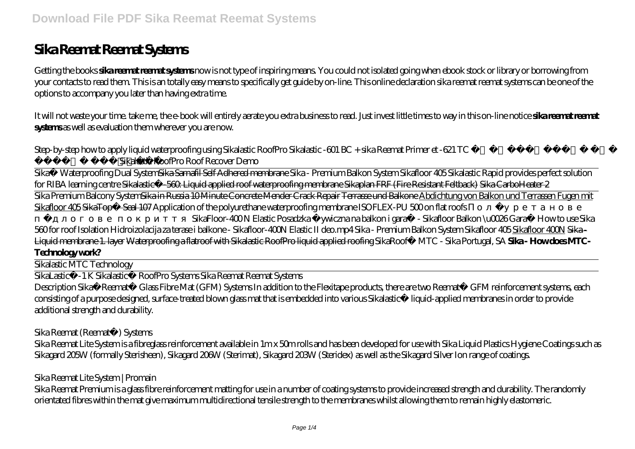# **Sika Reemat Reemat Systems**

Getting the books **sika reemat reemat systems** now is not type of inspiring means. You could not isolated going when ebook stock or library or borrowing from your contacts to read them. This is an totally easy means to specifically get guide by on-line. This online declaration sika reemat reemat systems can be one of the options to accompany you later than having extra time.

It will not waste your time. take me, the e-book will entirely aerate you extra business to read. Just invest little times to way in this on-line notice **sika reemat reemat systems** as well as evaluation them wherever you are now.

*Step-by-step how to apply liquid waterproofing using Sikalastic RoofPro Sikalastic -601 BC + sika Reemat Primer et -621 TC برست ءاملا Sikalastic RoofPro Roof Recover Demo*

Sika® Waterproofing Dual SystemSika Sarnafil Self Adhered membrane *Sika - Premium Balkon System Sikafloor 405 Sikalastic Rapid provides perfect solution for RIBA learning centre* Sikalastic®-560: Liquid applied roof waterproofing membrane Sikaplan FRF (Fire Resistant Feltback) Sika CarboHeater 2

Sika Premium Balcony SystemSika in Russia 10 Minute Concrete Mender Crack Repair Terrasse und Balkone Abdichtung von Balkon und Terrassen Fugen mit Sikafloor 405 SikaTop® Seal 107 Application of the polyurethane waterproofing membrane ISOFLEX-PU 500 on flat roofs

підлогове покриття SikaFloor-400 N Elastic Posadzka żywiczna na balkon i garaż - Sikafloor Balkon \u0026 Garaż *How to use Sika 560 for roof Isolation* Hidroizolacija za terase i balkone - Sikafloor-400N Elastic II deo.mp4 Sika - Premium Balkon System Sikafloor 405 Sikafloor 400N Sika - Liquid membrane 1. layer Waterproofing a flatroof with Sikalastic RoofPro liquid applied roofing SikaRoof® MTC - Sika Portugal, SA **Sika - How does MTC-Technology work?**

Sikalastic MTC Technology

SikaLastic®-1 K Sikalastic® RoofPro Systems *Sika Reemat Reemat Systems*

Description Sika® Reemat™ Glass Fibre Mat (GFM) Systems In addition to the Flexitape products, there are two Reemat™ GFM reinforcement systems, each consisting of a purpose designed, surface-treated blown glass mat that is embedded into various Sikalastic® liquid-applied membranes in order to provide additional strength and durability.

#### *Sika Reemat (Reemat™) Systems*

Sika Reemat Lite System is a fibreglass reinforcement available in 1m x 50m rolls and has been developed for use with Sika Liquid Plastics Hygiene Coatings such as Sikagard 205W (formally Sterisheen), Sikagard 206W (Sterimat), Sikagard 203W (Steridex) as well as the Sikagard Silver Ion range of coatings.

#### *Sika Reemat Lite System | Promain*

Sika Reemat Premium is a glass fibre reinforcement matting for use in a number of coating systems to provide increased strength and durability. The randomly orientated fibres within the mat give maximum multidirectional tensile strength to the membranes whilst allowing them to remain highly elastomeric.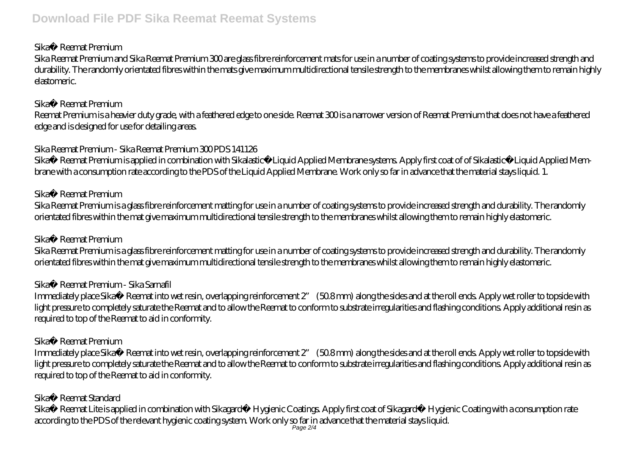# **Download File PDF Sika Reemat Reemat Systems**

#### *Sika® Reemat Premium*

Sika Reemat Premium and Sika Reemat Premium 300 are glass fibre reinforcement mats for use in a number of coating systems to provide increased strength and durability. The randomly orientated fibres within the mats give maximum multidirectional tensile strength to the membranes whilst allowing them to remain highly elastomeric.

#### *Sika® Reemat Premium*

Reemat Premium is a heavier duty grade, with a feathered edge to one side. Reemat 300 is a narrower version of Reemat Premium that does not have a feathered edge and is designed for use for detailing areas.

# *Sika Reemat Premium - Sika Reemat Premium 300 PDS 141126*

Sika® Reemat Premium is applied in combination with Sikalastic® Liquid Applied Membrane systems. Apply first coat of of Sikalastic® Liquid Applied Membrane with a consumption rate according to the PDS of the Liquid Applied Membrane. Work only so far in advance that the material stays liquid. 1.

#### *Sika® Reemat Premium*

Sika Reemat Premium is a glass fibre reinforcement matting for use in a number of coating systems to provide increased strength and durability. The randomly orientated fibres within the mat give maximum multidirectional tensile strength to the membranes whilst allowing them to remain highly elastomeric.

# *Sika® Reemat Premium*

Sika Reemat Premium is a glass fibre reinforcement matting for use in a number of coating systems to provide increased strength and durability. The randomly orientated fibres within the mat give maximum multidirectional tensile strength to the membranes whilst allowing them to remain highly elastomeric.

# *Sika® Reemat Premium - Sika Sarnafil*

Immediately place Sika® Reemat into wet resin, overlapping reinforcement 2" (50.8 mm) along the sides and at the roll ends. Apply wet roller to topside with light pressure to completely saturate the Reemat and to allow the Reemat to conform to substrate irregularities and flashing conditions. Apply additional resin as required to top of the Reemat to aid in conformity.

# *Sika® Reemat Premium*

Immediately place Sika® Reemat into wet resin, overlapping reinforcement 2" (50.8 mm) along the sides and at the roll ends. Apply wet roller to topside with light pressure to completely saturate the Reemat and to allow the Reemat to conform to substrate irregularities and flashing conditions. Apply additional resin as required to top of the Reemat to aid in conformity.

# *Sika® Reemat Standard*

Sika® Reemat Lite is applied in combination with Sikagard® Hygienic Coatings. Apply first coat of Sikagard® Hygienic Coating with a consumption rate according to the PDS of the relevant hygienic coating system. Work only so far in advance that the material stays liquid. Page 2/4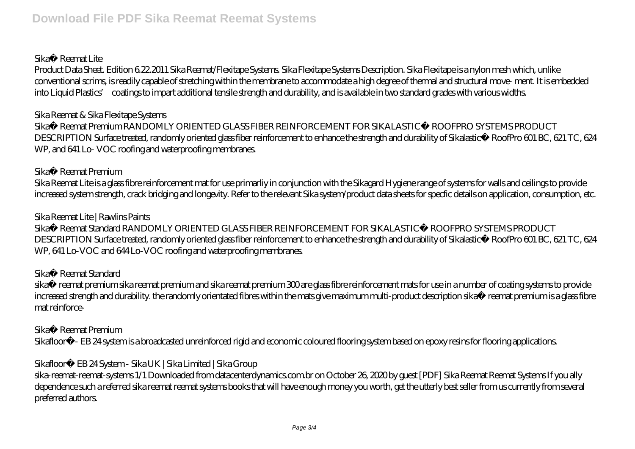#### *Sika® Reemat Lite*

Product Data Sheet. Edition 6.22.2011 Sika Reemat/Flexitape Systems. Sika Flexitape Systems Description. Sika Flexitape is a nylon mesh which, unlike conventional scrims, is readily capable of stretching within the membrane to accommodate a high degree of thermal and structural move- ment. It is embedded into Liquid Plastics' coatings to impart additional tensile strength and durability, and is available in two standard grades with various widths.

#### *Sika Reemat & Sika Flexitape Systems*

Sika® Reemat Premium RANDOMLY ORIENTED GLASS FIBER REINFORCEMENT FOR SIKALASTIC® ROOFPRO SYSTEMS PRODUCT DESCRIPTION Surface treated, randomly oriented glass fiber reinforcement to enhance the strength and durability of Sikalastic® RoofPro 601 BC, 621 TC, 624 WP, and 641 Lo- VOC roofing and waterproofing membranes.

#### *Sika® Reemat Premium*

Sika Reemat Lite is a glass fibre reinforcement mat for use primarliy in conjunction with the Sikagard Hygiene range of systems for walls and ceilings to provide increased system strength, crack bridging and longevity. Refer to the relevant Sika system/product data sheets for specfic details on application, consumption, etc.

# *Sika Reemat Lite | Rawlins Paints*

Sika® Reemat Standard RANDOMLY ORIENTED GLASS FIBER REINFORCEMENT FOR SIKALASTIC® ROOFPRO SYSTEMS PRODUCT DESCRIPTION Surface treated, randomly oriented glass fiber reinforcement to enhance the strength and durability of Sikalastic® RoofPro 601 BC, 621 TC, 624 WP, 641 Lo-VOC and 644 Lo-VOC roofing and waterproofing membranes.

# *Sika® Reemat Standard*

sika® reemat premium sika reemat premium and sika reemat premium 300 are glass fibre reinforcement mats for use in a number of coating systems to provide increased strength and durability. the randomly orientated fibres within the mats give maximum multi-product description sika® reemat premium is a glass fibre mat reinforce-

# *Sika® Reemat Premium*

Sikafloor®- EB 24 system is a broadcasted unreinforced rigid and economic coloured flooring system based on epoxy resins for flooring applications.

# *Sikafloor® EB 24 System - Sika UK | Sika Limited | Sika Group*

sika-reemat-reemat-systems 1/1 Downloaded from datacenterdynamics.com.br on October 26, 2020 by guest [PDF] Sika Reemat Reemat Systems If you ally dependence such a referred sika reemat reemat systems books that will have enough money you worth, get the utterly best seller from us currently from several preferred authors.